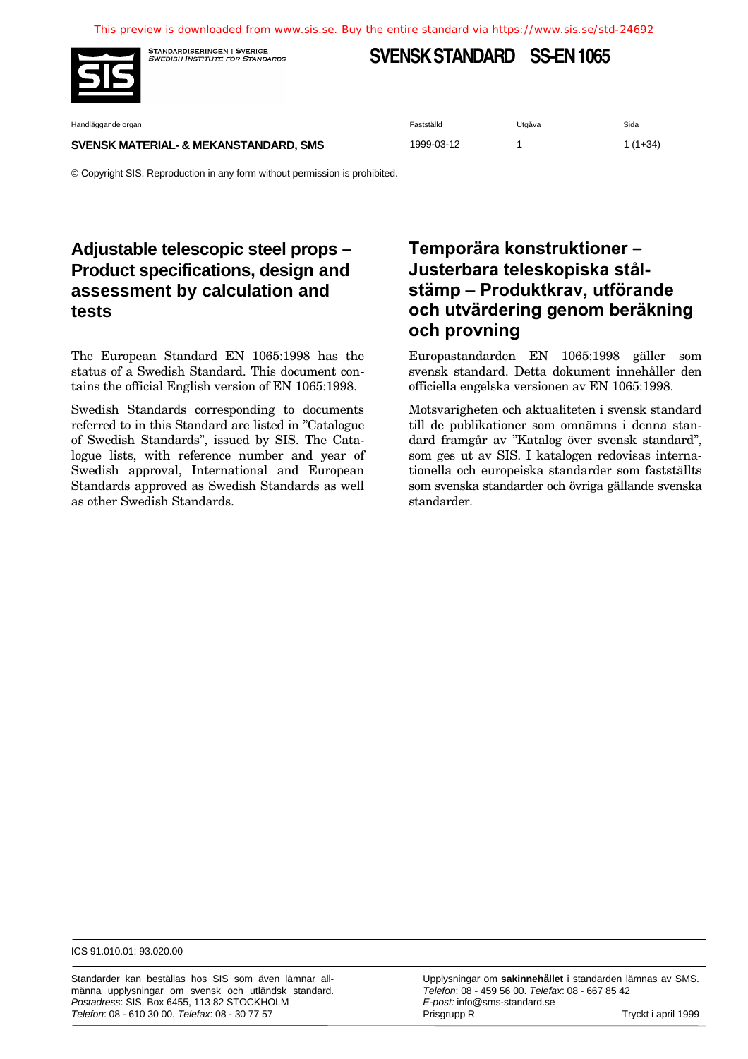

STANDARDISERINGEN I SVERIGE **SWEDISH INSTITUTE FOR STANDARDS** 

## **SVENSK STANDARD SS-EN 1065**

**SVENSK MATERIAL- & MEKANSTANDARD, SMS** 1999-03-12 1 1 (1+34)

Handläggande organ Fastställd Utgåva Sida

© Copyright SIS. Reproduction in any form without permission is prohibited.

## **Adjustable telescopic steel props – Product specifications, design and assessment by calculation and tests**

The European Standard EN 1065:1998 has the status of a Swedish Standard. This document contains the official English version of EN 1065:1998.

Swedish Standards corresponding to documents referred to in this Standard are listed in "Catalogue of Swedish Standards", issued by SIS. The Catalogue lists, with reference number and year of Swedish approval, International and European Standards approved as Swedish Standards as well as other Swedish Standards.

## **Temporära konstruktioner – Justerbara teleskopiska stålstämp – Produktkrav, utförande och utvärdering genom beräkning och provning**

Europastandarden EN 1065:1998 gäller som svensk standard. Detta dokument innehåller den officiella engelska versionen av EN 1065:1998.

Motsvarigheten och aktualiteten i svensk standard till de publikationer som omnämns i denna standard framgår av "Katalog över svensk standard", som ges ut av SIS. I katalogen redovisas internationella och europeiska standarder som fastställts som svenska standarder och övriga gällande svenska standarder.

ICS 91.010.01; 93.020.00

Standarder kan beställas hos SIS som även lämnar allmänna upplysningar om svensk och utländsk standard. Postadress: SIS, Box 6455, 113 82 STOCKHOLM Telefon: 08 - 610 30 00. Telefax: 08 - 30 77 57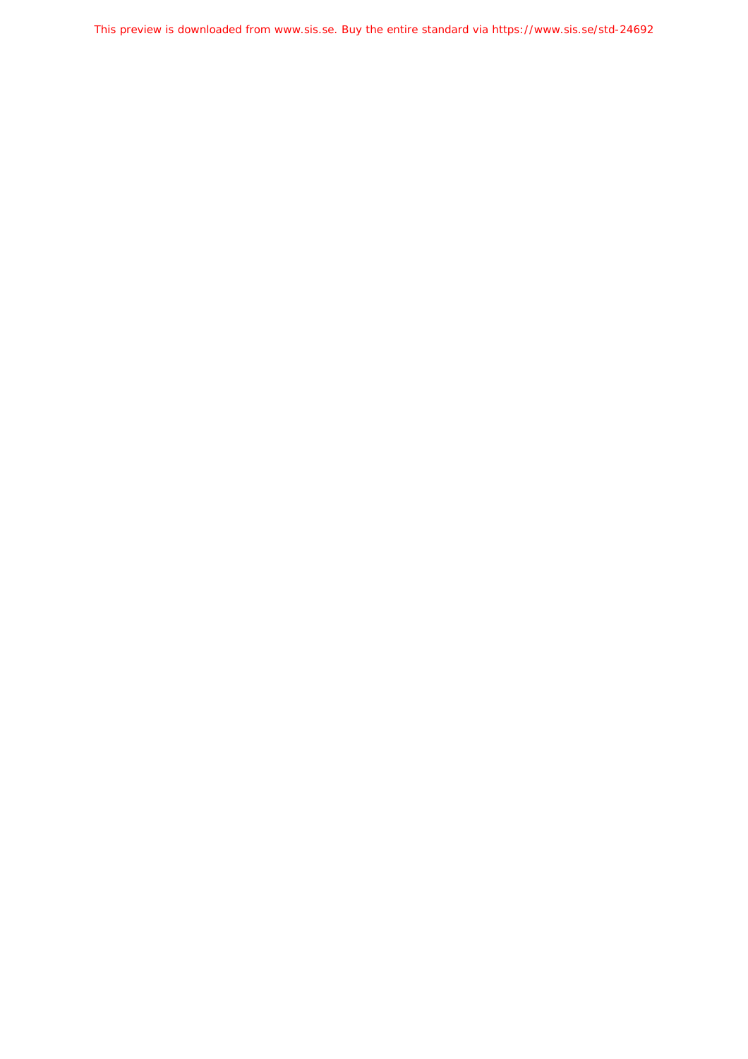This preview is downloaded from www.sis.se. Buy the entire standard via https://www.sis.se/std-24692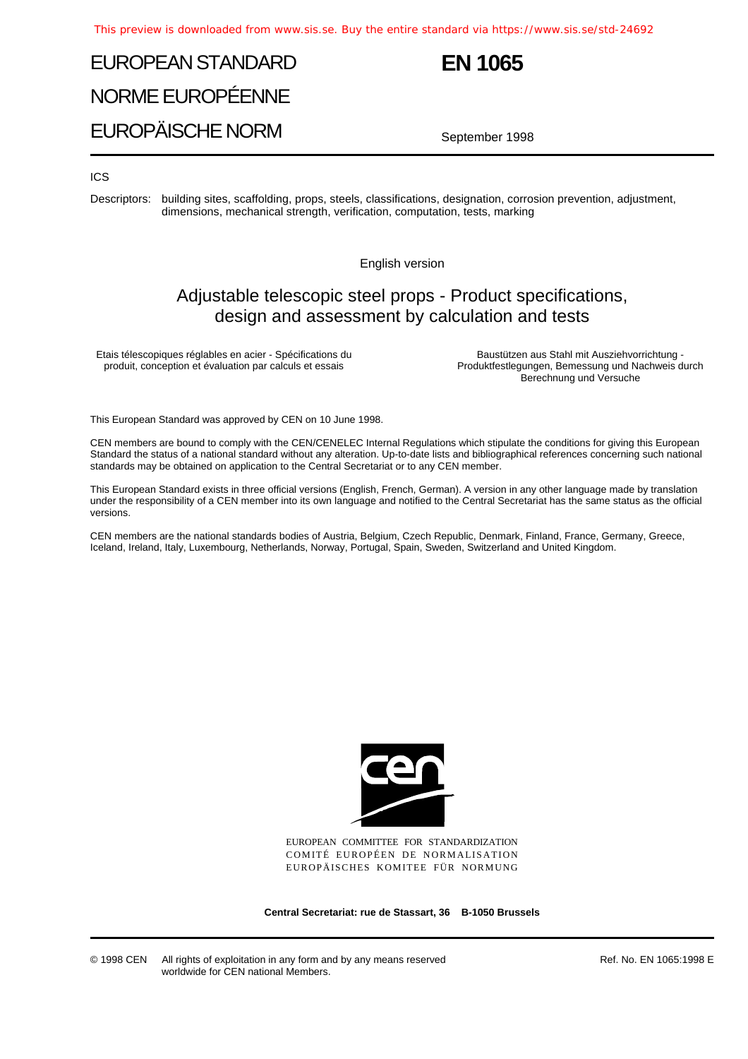# EUROPEAN STANDARD NORME EUROPÉENNE

## **EN 1065**

EUROPÄISCHE NORM

September 1998

ICS

Descriptors: building sites, scaffolding, props, steels, classifications, designation, corrosion prevention, adjustment, dimensions, mechanical strength, verification, computation, tests, marking

English version

## Adjustable telescopic steel props - Product specifications, design and assessment by calculation and tests

Etais télescopiques réglables en acier - Spécifications du produit, conception et évaluation par calculs et essais

Baustützen aus Stahl mit Ausziehvorrichtung - Produktfestlegungen, Bemessung und Nachweis durch Berechnung und Versuche

This European Standard was approved by CEN on 10 June 1998.

CEN members are bound to comply with the CEN/CENELEC Internal Regulations which stipulate the conditions for giving this European Standard the status of a national standard without any alteration. Up-to-date lists and bibliographical references concerning such national standards may be obtained on application to the Central Secretariat or to any CEN member.

This European Standard exists in three official versions (English, French, German). A version in any other language made by translation under the responsibility of a CEN member into its own language and notified to the Central Secretariat has the same status as the official versions.

CEN members are the national standards bodies of Austria, Belgium, Czech Republic, Denmark, Finland, France, Germany, Greece, Iceland, Ireland, Italy, Luxembourg, Netherlands, Norway, Portugal, Spain, Sweden, Switzerland and United Kingdom.



EUROPEAN COMMITTEE FOR STANDARDIZATION COMITÉ EUROPÉEN DE NORMALISATION EUROPÄISCHES KOMITEE FÜR NORMUNG

**Central Secretariat: rue de Stassart, 36 B-1050 Brussels**

© 1998 CEN All rights of exploitation in any form and by any means reserved worldwide for CEN national Members.

Ref. No. EN 1065:1998 E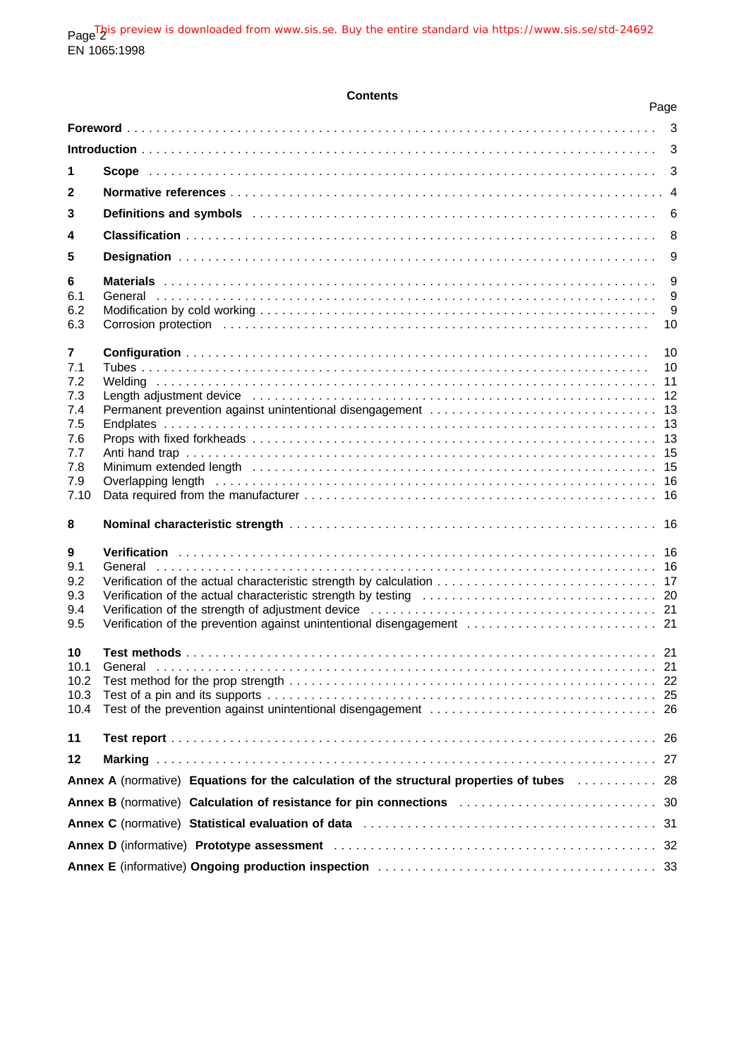Page'2 EN 1065:1998 This preview is downloaded from www.sis.se. Buy the entire standard via https://www.sis.se/std-24692

|                                                                                       | <b>Contents</b>                                                                                                                                                                                                                                                                                                                                                                                         |                   |  |  |  |
|---------------------------------------------------------------------------------------|---------------------------------------------------------------------------------------------------------------------------------------------------------------------------------------------------------------------------------------------------------------------------------------------------------------------------------------------------------------------------------------------------------|-------------------|--|--|--|
|                                                                                       |                                                                                                                                                                                                                                                                                                                                                                                                         | Page              |  |  |  |
|                                                                                       |                                                                                                                                                                                                                                                                                                                                                                                                         |                   |  |  |  |
|                                                                                       |                                                                                                                                                                                                                                                                                                                                                                                                         |                   |  |  |  |
| 1                                                                                     |                                                                                                                                                                                                                                                                                                                                                                                                         |                   |  |  |  |
| $\mathbf 2$                                                                           |                                                                                                                                                                                                                                                                                                                                                                                                         |                   |  |  |  |
| 3                                                                                     | Definitions and symbols included and contact the contract of the contract of the contract of the contract of the contract of the contract of the contract of the contract of the contract of the contract of the contract of t                                                                                                                                                                          |                   |  |  |  |
| 4                                                                                     |                                                                                                                                                                                                                                                                                                                                                                                                         |                   |  |  |  |
| 5                                                                                     |                                                                                                                                                                                                                                                                                                                                                                                                         | 9                 |  |  |  |
| 6<br>6.1<br>6.2<br>6.3                                                                |                                                                                                                                                                                                                                                                                                                                                                                                         | 9<br>9<br>9<br>10 |  |  |  |
| $\overline{7}$<br>7.1<br>7.2<br>7.3<br>7.4<br>7.5<br>7.6<br>7.7<br>7.8<br>7.9<br>7.10 | Overlapping length is research in the contract of the contract of the contract of the contract of the contract of the contract of the contract of the contract of the contract of the contract of the contract of the contract                                                                                                                                                                          | 10<br>10          |  |  |  |
| 8                                                                                     |                                                                                                                                                                                                                                                                                                                                                                                                         |                   |  |  |  |
| 9<br>9.1<br>9.2<br>9.3<br>9.4<br>9.5                                                  | Verification of the actual characteristic strength by testing www.communications.communication of the actual characteristic strength by testing www.communications.com<br>Verification of the strength of adjustment device contained and contained and the strength of adjustment device contained and the strength of the strength of adjustment device contained and the strength of the strength of |                   |  |  |  |
| 10<br>10.1<br>10.2<br>10.3<br>10.4                                                    |                                                                                                                                                                                                                                                                                                                                                                                                         |                   |  |  |  |
| 11                                                                                    |                                                                                                                                                                                                                                                                                                                                                                                                         |                   |  |  |  |
| 12                                                                                    |                                                                                                                                                                                                                                                                                                                                                                                                         |                   |  |  |  |
|                                                                                       | Annex A (normative) Equations for the calculation of the structural properties of tubes  28                                                                                                                                                                                                                                                                                                             |                   |  |  |  |
|                                                                                       |                                                                                                                                                                                                                                                                                                                                                                                                         |                   |  |  |  |
|                                                                                       |                                                                                                                                                                                                                                                                                                                                                                                                         |                   |  |  |  |
|                                                                                       |                                                                                                                                                                                                                                                                                                                                                                                                         |                   |  |  |  |
|                                                                                       |                                                                                                                                                                                                                                                                                                                                                                                                         |                   |  |  |  |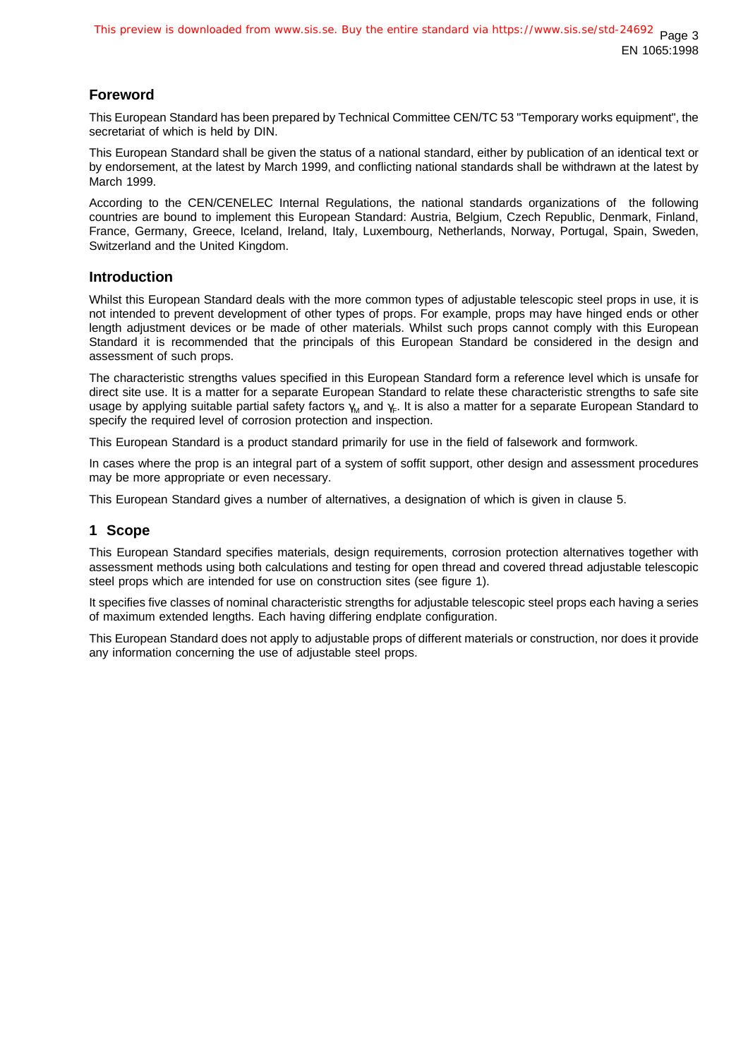## **Foreword**

This European Standard has been prepared by Technical Committee CEN/TC 53 "Temporary works equipment", the secretariat of which is held by DIN.

This European Standard shall be given the status of a national standard, either by publication of an identical text or by endorsement, at the latest by March 1999, and conflicting national standards shall be withdrawn at the latest by March 1999.

According to the CEN/CENELEC Internal Regulations, the national standards organizations of the following countries are bound to implement this European Standard: Austria, Belgium, Czech Republic, Denmark, Finland, France, Germany, Greece, Iceland, Ireland, Italy, Luxembourg, Netherlands, Norway, Portugal, Spain, Sweden, Switzerland and the United Kingdom.

### **Introduction**

Whilst this European Standard deals with the more common types of adjustable telescopic steel props in use, it is not intended to prevent development of other types of props. For example, props may have hinged ends or other length adjustment devices or be made of other materials. Whilst such props cannot comply with this European Standard it is recommended that the principals of this European Standard be considered in the design and assessment of such props.

The characteristic strengths values specified in this European Standard form a reference level which is unsafe for direct site use. It is a matter for a separate European Standard to relate these characteristic strengths to safe site usage by applying suitable partial safety factors  $\gamma_M$  and  $\gamma_F$ . It is also a matter for a separate European Standard to specify the required level of corrosion protection and inspection.

This European Standard is a product standard primarily for use in the field of falsework and formwork.

In cases where the prop is an integral part of a system of soffit support, other design and assessment procedures may be more appropriate or even necessary.

This European Standard gives a number of alternatives, a designation of which is given in clause 5.

## **1 Scope**

This European Standard specifies materials, design requirements, corrosion protection alternatives together with assessment methods using both calculations and testing for open thread and covered thread adjustable telescopic steel props which are intended for use on construction sites (see figure 1).

It specifies five classes of nominal characteristic strengths for adjustable telescopic steel props each having a series of maximum extended lengths. Each having differing endplate configuration.

This European Standard does not apply to adjustable props of different materials or construction, nor does it provide any information concerning the use of adjustable steel props.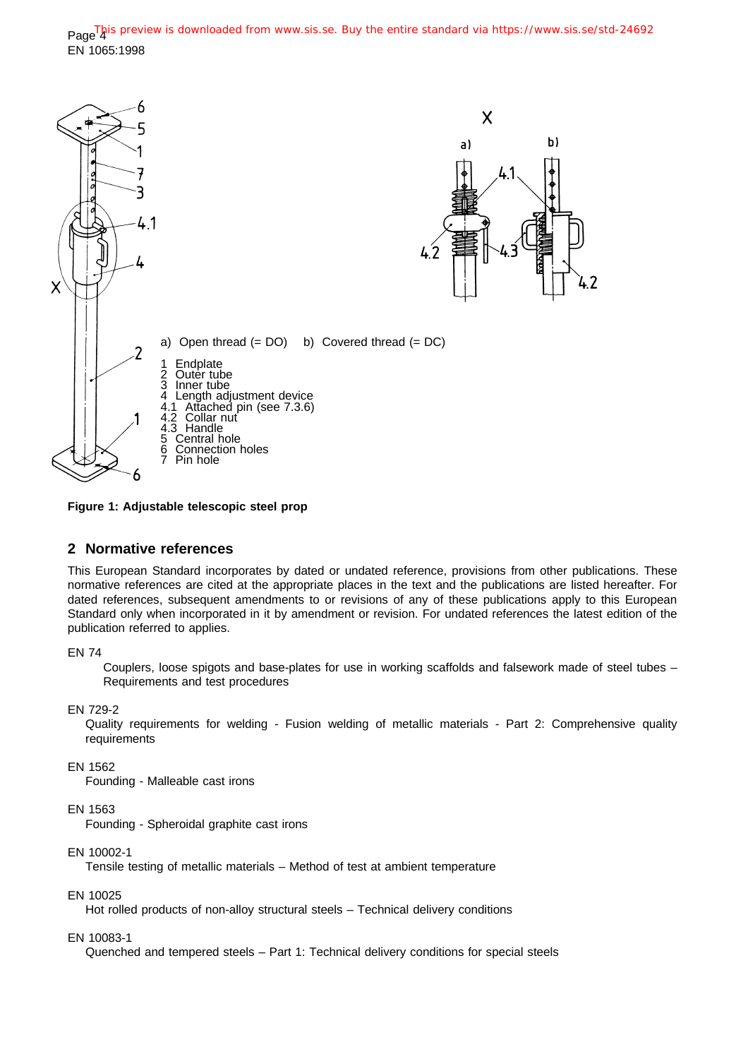Page<sup>This</sup> preview is downloaded from www.sis.se. Buy the entire standard via https://www.sis.se/std-24692 EN 1065:1998



**Figure 1: Adjustable telescopic steel prop**

### **2 Normative references**

This European Standard incorporates by dated or undated reference, provisions from other publications. These normative references are cited at the appropriate places in the text and the publications are listed hereafter. For dated references, subsequent amendments to or revisions of any of these publications apply to this European Standard only when incorporated in it by amendment or revision. For undated references the latest edition of the publication referred to applies.

EN 74

Couplers, loose spigots and base-plates for use in working scaffolds and falsework made of steel tubes – Requirements and test procedures

EN 729-2

Quality requirements for welding - Fusion welding of metallic materials - Part 2: Comprehensive quality requirements

EN 1562

Founding - Malleable cast irons

#### EN 1563

Founding - Spheroidal graphite cast irons

#### EN 10002-1

Tensile testing of metallic materials – Method of test at ambient temperature

EN 10025

Hot rolled products of non-alloy structural steels – Technical delivery conditions

EN 10083-1

Quenched and tempered steels – Part 1: Technical delivery conditions for special steels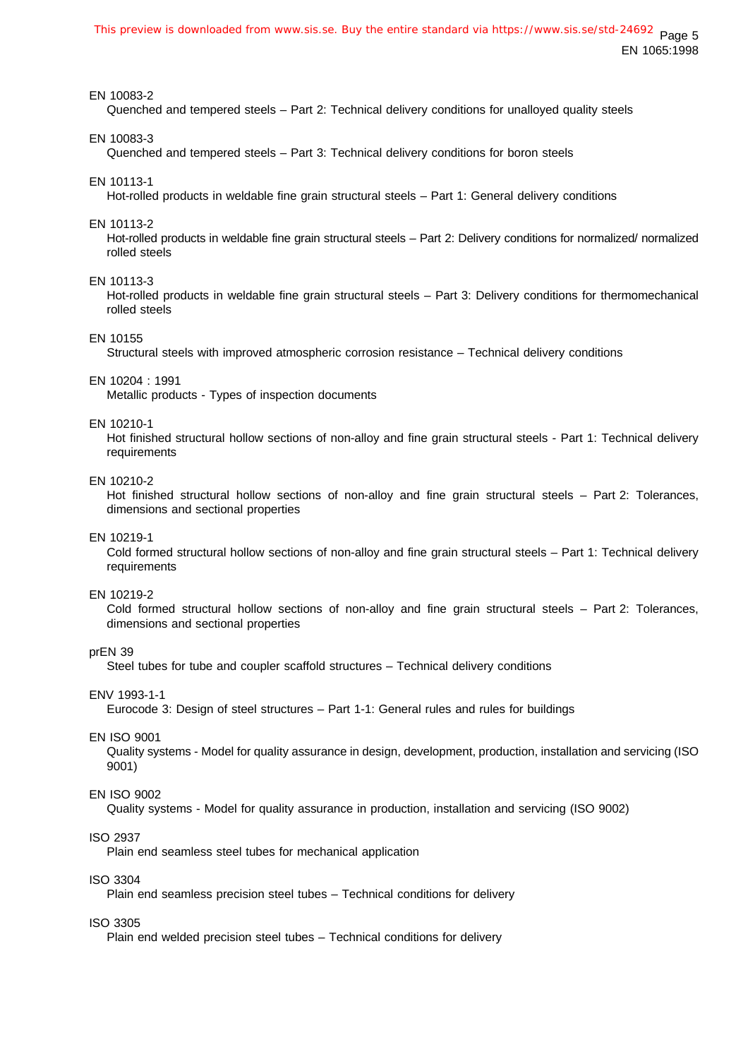#### EN 10083-2

Quenched and tempered steels – Part 2: Technical delivery conditions for unalloyed quality steels

#### EN 10083-3

Quenched and tempered steels – Part 3: Technical delivery conditions for boron steels

#### EN 10113-1

Hot-rolled products in weldable fine grain structural steels – Part 1: General delivery conditions

#### EN 10113-2

Hot-rolled products in weldable fine grain structural steels – Part 2: Delivery conditions for normalized/ normalized rolled steels

#### EN 10113-3

Hot-rolled products in weldable fine grain structural steels – Part 3: Delivery conditions for thermomechanical rolled steels

#### EN 10155

Structural steels with improved atmospheric corrosion resistance – Technical delivery conditions

#### EN 10204 : 1991

Metallic products - Types of inspection documents

#### EN 10210-1

Hot finished structural hollow sections of non-alloy and fine grain structural steels - Part 1: Technical delivery requirements

#### EN 10210-2

Hot finished structural hollow sections of non-alloy and fine grain structural steels – Part 2: Tolerances, dimensions and sectional properties

#### EN 10219-1

Cold formed structural hollow sections of non-alloy and fine grain structural steels – Part 1: Technical delivery requirements

#### EN 10219-2

Cold formed structural hollow sections of non-alloy and fine grain structural steels – Part 2: Tolerances, dimensions and sectional properties

#### prEN 39

Steel tubes for tube and coupler scaffold structures – Technical delivery conditions

#### ENV 1993-1-1

Eurocode 3: Design of steel structures – Part 1-1: General rules and rules for buildings

#### EN ISO 9001

Quality systems - Model for quality assurance in design, development, production, installation and servicing (ISO 9001)

#### EN ISO 9002

Quality systems - Model for quality assurance in production, installation and servicing (ISO 9002)

#### ISO 2937

Plain end seamless steel tubes for mechanical application

#### ISO 3304

Plain end seamless precision steel tubes – Technical conditions for delivery

#### ISO 3305

Plain end welded precision steel tubes – Technical conditions for delivery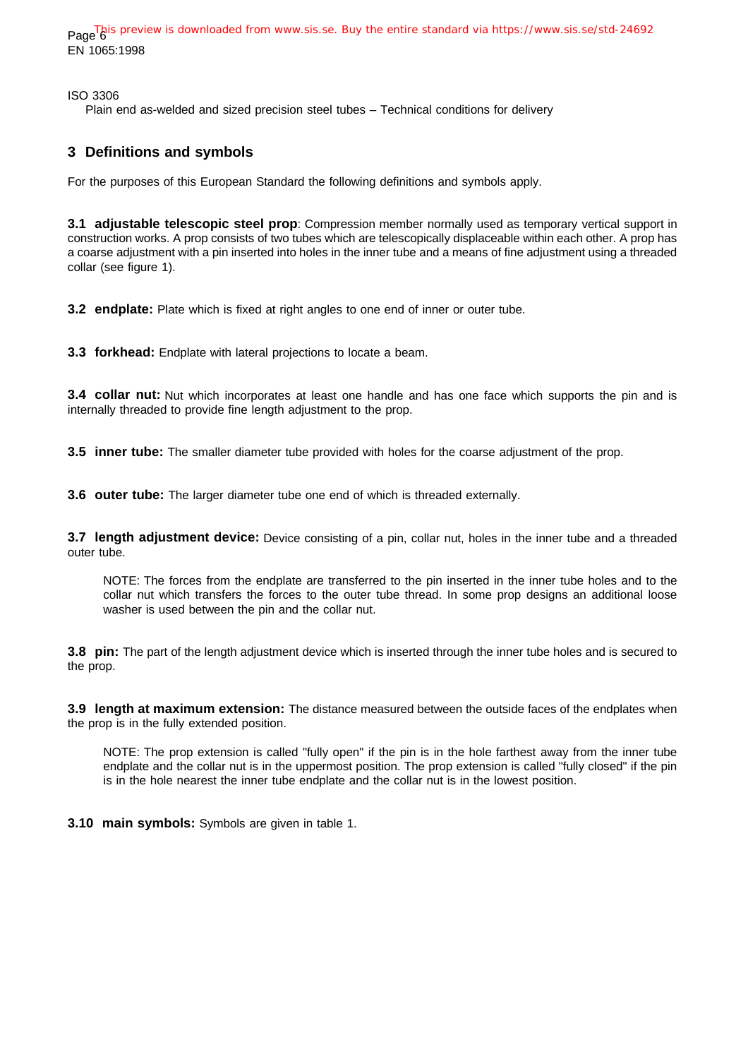Page<sup>This</sup> preview is downloaded from www.sis.se. Buy the entire standard via https://www.sis.se/std-24692 EN 1065:1998

ISO 3306

Plain end as-welded and sized precision steel tubes – Technical conditions for delivery

## **3 Definitions and symbols**

For the purposes of this European Standard the following definitions and symbols apply.

**3.1 adjustable telescopic steel prop**: Compression member normally used as temporary vertical support in construction works. A prop consists of two tubes which are telescopically displaceable within each other. A prop has a coarse adjustment with a pin inserted into holes in the inner tube and a means of fine adjustment using a threaded collar (see figure 1).

**3.2 endplate:** Plate which is fixed at right angles to one end of inner or outer tube.

**3.3 forkhead:** Endplate with lateral projections to locate a beam.

**3.4 collar nut:** Nut which incorporates at least one handle and has one face which supports the pin and is internally threaded to provide fine length adjustment to the prop.

**3.5 inner tube:** The smaller diameter tube provided with holes for the coarse adjustment of the prop.

**3.6 outer tube:** The larger diameter tube one end of which is threaded externally.

**3.7 length adjustment device:** Device consisting of a pin, collar nut, holes in the inner tube and a threaded outer tube.

NOTE: The forces from the endplate are transferred to the pin inserted in the inner tube holes and to the collar nut which transfers the forces to the outer tube thread. In some prop designs an additional loose washer is used between the pin and the collar nut.

**3.8 pin:** The part of the length adjustment device which is inserted through the inner tube holes and is secured to the prop.

**3.9 length at maximum extension:** The distance measured between the outside faces of the endplates when the prop is in the fully extended position.

NOTE: The prop extension is called "fully open" if the pin is in the hole farthest away from the inner tube endplate and the collar nut is in the uppermost position. The prop extension is called "fully closed" if the pin is in the hole nearest the inner tube endplate and the collar nut is in the lowest position.

**3.10 main symbols:** Symbols are given in table 1.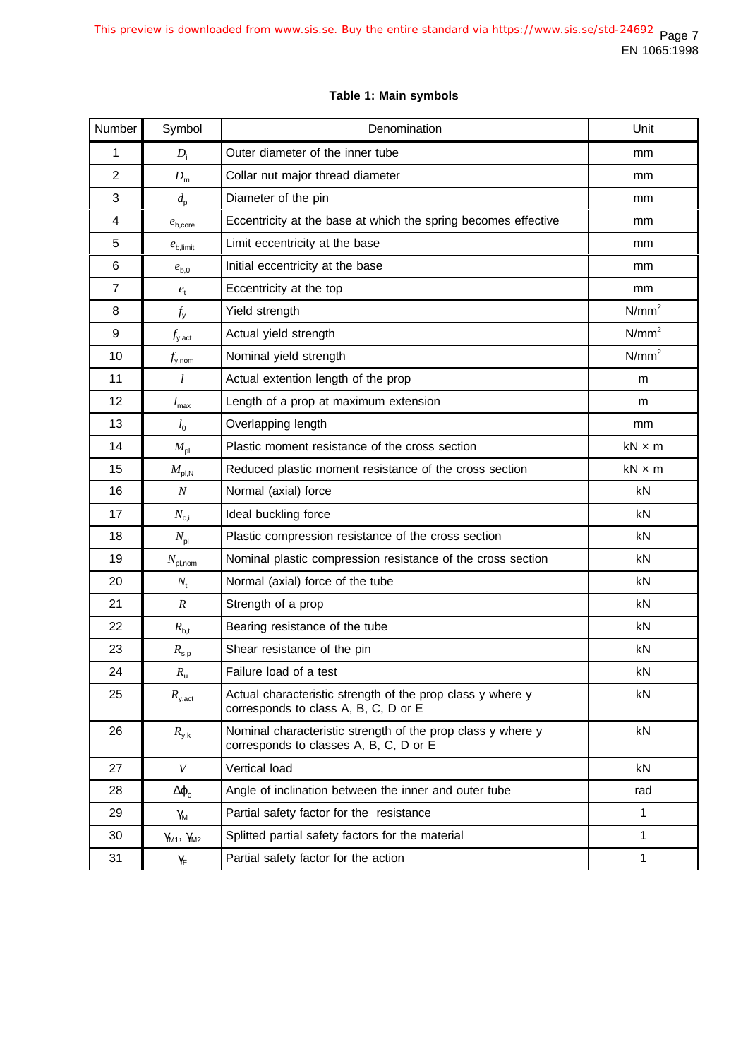| Number         | Symbol                              | Denomination                                                                                          | Unit              |
|----------------|-------------------------------------|-------------------------------------------------------------------------------------------------------|-------------------|
| 1              | $D_i$                               | Outer diameter of the inner tube                                                                      | mm                |
| 2              | $D_{\rm m}$                         | Collar nut major thread diameter                                                                      | mm                |
| 3              | $d_{\rm p}$                         | Diameter of the pin                                                                                   | mm                |
| 4              | e <sub>b,core</sub>                 | Eccentricity at the base at which the spring becomes effective                                        | mm                |
| 5              | $e_{\text{b,limit}}$                | Limit eccentricity at the base                                                                        | mm                |
| 6              | $e_{b,0}$                           | Initial eccentricity at the base                                                                      | mm                |
| $\overline{7}$ | $e_{t}$                             | Eccentricity at the top                                                                               | mm                |
| 8              | $f_{y}$                             | Yield strength                                                                                        | N/mm <sup>2</sup> |
| 9              | $f_{y,\text{act}}$                  | Actual yield strength                                                                                 | N/mm <sup>2</sup> |
| 10             | $f_{\mathsf{y},\mathsf{nom}}$       | Nominal yield strength                                                                                | N/mm <sup>2</sup> |
| 11             | l                                   | Actual extention length of the prop                                                                   | m                 |
| 12             | $l_{\max}$                          | Length of a prop at maximum extension                                                                 | m                 |
| 13             | $l_0$                               | Overlapping length                                                                                    | mm                |
| 14             | $M_{\rm pl}$                        | Plastic moment resistance of the cross section                                                        | $kN \times m$     |
| 15             | $M_{\rm pl,N}$                      | Reduced plastic moment resistance of the cross section                                                | $kN \times m$     |
| 16             | $\boldsymbol{N}$                    | Normal (axial) force                                                                                  | kN                |
| 17             | $N_{\rm c,i}$                       | Ideal buckling force                                                                                  | kN                |
| 18             | $N_{\sf pl}$                        | Plastic compression resistance of the cross section                                                   | kN                |
| 19             | $N_{\rm pl,nom}$                    | Nominal plastic compression resistance of the cross section                                           | kN                |
| 20             | $N_{\rm t}$                         | Normal (axial) force of the tube                                                                      | kN                |
| 21             | $\boldsymbol{R}$                    | Strength of a prop                                                                                    | kN                |
| 22             | $R_{\rm b,t}$                       | Bearing resistance of the tube                                                                        | kN                |
| 23             | $R_{\rm s,p}$                       | Shear resistance of the pin                                                                           | kN                |
| 24             | $R_{\rm u}$                         | Failure load of a test                                                                                | kN                |
| 25             | $R_{\rm y,act}$                     | Actual characteristic strength of the prop class y where y<br>corresponds to class A, B, C, D or E    | kN                |
| 26             | $R_{y,k}$                           | Nominal characteristic strength of the prop class y where y<br>corresponds to classes A, B, C, D or E | kN                |
| 27             | $\boldsymbol{V}$                    | Vertical load                                                                                         | kN                |
| 28             | $\Delta\phi_0$                      | Angle of inclination between the inner and outer tube                                                 | rad               |
| 29             | $\gamma_{\scriptscriptstyle\rm{M}}$ | Partial safety factor for the resistance                                                              | 1                 |
| 30             | $\gamma_{M1}$ , $\gamma_{M2}$       | Splitted partial safety factors for the material                                                      | $\mathbf{1}$      |
| 31             | $\gamma_{\rm F}$                    | Partial safety factor for the action                                                                  | 1                 |

## **Table 1: Main symbols**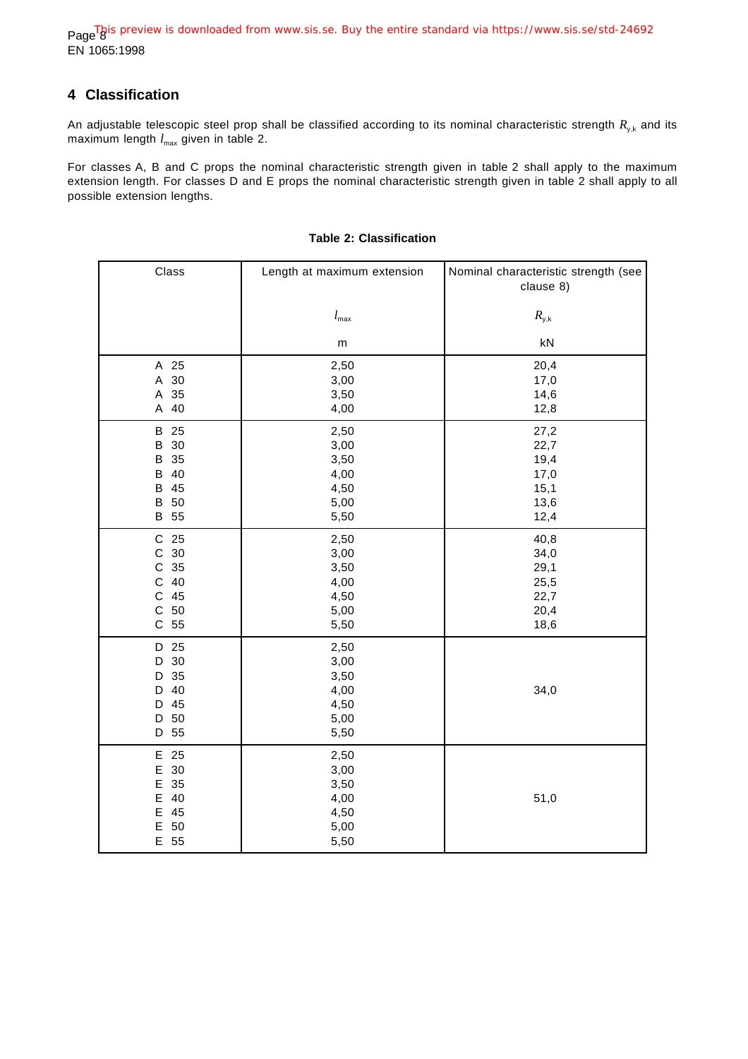Page<sup>This</sup> preview is downloaded from www.sis.se. Buy the entire standard via https://www.sis.se/std-24692 EN 1065:1998

## **4 Classification**

An adjustable telescopic steel prop shall be classified according to its nominal characteristic strength  $R_{v,k}$  and its maximum length  $l_{\text{max}}$  given in table 2.

For classes A, B and C props the nominal characteristic strength given in table 2 shall apply to the maximum extension length. For classes D and E props the nominal characteristic strength given in table 2 shall apply to all possible extension lengths.

| Class                                                                                 | Length at maximum extension                          | Nominal characteristic strength (see<br>clause 8)    |
|---------------------------------------------------------------------------------------|------------------------------------------------------|------------------------------------------------------|
|                                                                                       | $l_{\max}$                                           | $R_{y,k}$                                            |
|                                                                                       | ${\sf m}$                                            | kN                                                   |
| A 25<br>A 30<br>A 35<br>A 40                                                          | 2,50<br>3,00<br>3,50<br>4,00                         | 20,4<br>17,0<br>14,6<br>12,8                         |
| B 25<br>B 30<br>B 35<br>B 40<br>B 45<br>B 50<br>B 55                                  | 2,50<br>3,00<br>3,50<br>4,00<br>4,50<br>5,00<br>5,50 | 27,2<br>22,7<br>19,4<br>17,0<br>15,1<br>13,6<br>12,4 |
| $C$ 25<br>C <sub>30</sub><br>C <sub>35</sub><br>$C$ 40<br>$C$ 45<br>C<br>50<br>$C$ 55 | 2,50<br>3,00<br>3,50<br>4,00<br>4,50<br>5,00<br>5,50 | 40,8<br>34,0<br>29,1<br>25,5<br>22,7<br>20,4<br>18,6 |
| D 25<br>D 30<br>D 35<br>D<br>40<br>D 45<br>D 50<br>D 55                               | 2,50<br>3,00<br>3,50<br>4,00<br>4,50<br>5,00<br>5,50 | 34,0                                                 |
| E 25<br>E 30<br>35<br>E<br>E 40<br>E 45<br>E 50<br>E 55                               | 2,50<br>3,00<br>3,50<br>4,00<br>4,50<br>5,00<br>5,50 | 51,0                                                 |

#### **Table 2: Classification**